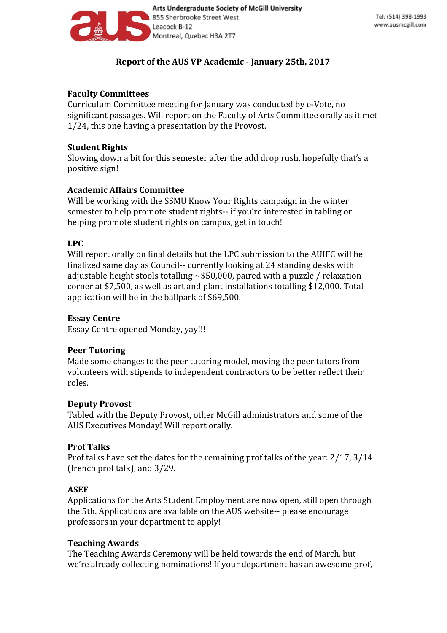

# **Report of the AUS VP Academic - January 25th, 2017**

## **Faculty Committees**

Curriculum Committee meeting for January was conducted by e-Vote, no significant passages. Will report on the Faculty of Arts Committee orally as it met 1/24, this one having a presentation by the Provost.

### **Student Rights**

Slowing down a bit for this semester after the add drop rush, hopefully that's a positive sign!

## **Academic Affairs Committee**

Will be working with the SSMU Know Your Rights campaign in the winter semester to help promote student rights-- if you're interested in tabling or helping promote student rights on campus, get in touch!

### **LPC**

Will report orally on final details but the LPC submission to the AUIFC will be finalized same day as Council-- currently looking at 24 standing desks with adjustable height stools totalling ~\$50,000, paired with a puzzle / relaxation corner at \$7,500, as well as art and plant installations totalling \$12,000. Total application will be in the ballpark of \$69,500.

### **Essay Centre**

Essay Centre opened Monday, yay!!!

#### **Peer Tutoring**

Made some changes to the peer tutoring model, moving the peer tutors from volunteers with stipends to independent contractors to be better reflect their roles.

#### **Deputy Provost**

Tabled with the Deputy Provost, other McGill administrators and some of the AUS Executives Monday! Will report orally.

## **Prof Talks**

Prof talks have set the dates for the remaining prof talks of the year: 2/17, 3/14 (french prof talk), and 3/29.

## **ASEF**

Applications for the Arts Student Employment are now open, still open through the 5th. Applications are available on the AUS website-- please encourage professors in your department to apply!

## **Teaching Awards**

The Teaching Awards Ceremony will be held towards the end of March, but we're already collecting nominations! If your department has an awesome prof,